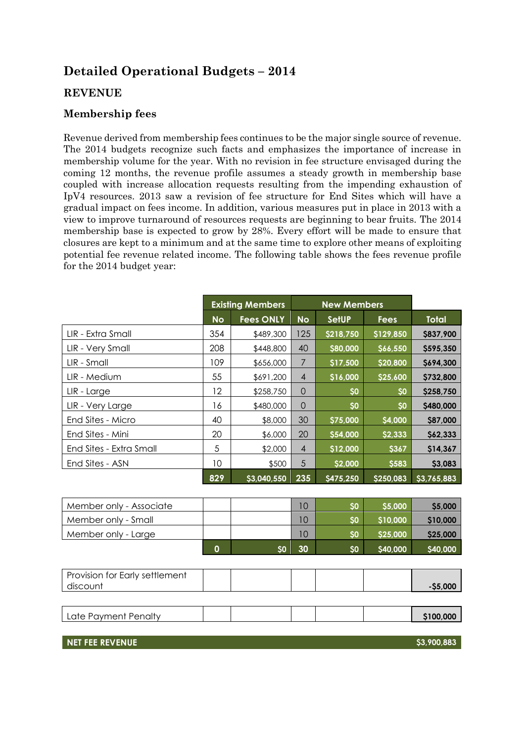# **Detailed Operational Budgets – 2014**

# **REVENUE**

# **Membership fees**

Revenue derived from membership fees continues to be the major single source of revenue. The 2014 budgets recognize such facts and emphasizes the importance of increase in membership volume for the year. With no revision in fee structure envisaged during the coming 12 months, the revenue profile assumes a steady growth in membership base coupled with increase allocation requests resulting from the impending exhaustion of IpV4 resources. 2013 saw a revision of fee structure for End Sites which will have a gradual impact on fees income. In addition, various measures put in place in 2013 with a view to improve turnaround of resources requests are beginning to bear fruits. The 2014 membership base is expected to grow by 28%. Every effort will be made to ensure that closures are kept to a minimum and at the same time to explore other means of exploiting potential fee revenue related income. The following table shows the fees revenue profile for the 2014 budget year:

|                         |           | <b>Existing Members</b> |                | <b>New Members</b> |             |              |
|-------------------------|-----------|-------------------------|----------------|--------------------|-------------|--------------|
|                         | <b>No</b> | <b>Fees ONLY</b>        | <b>No</b>      | <b>SetUP</b>       | <b>Fees</b> | <b>Total</b> |
| LIR - Extra Small       | 354       | \$489,300               | 125            | \$218,750          | \$129,850   | \$837,900    |
| LIR - Very Small        | 208       | \$448,800               | 40             | \$80,000           | \$66,550    | \$595,350    |
| LIR - Small             | 109       | \$656,000               | 7              | \$17,500           | \$20,800    | \$694,300    |
| LIR - Medium            | 55        | \$691,200               | $\overline{4}$ | \$16,000           | \$25,600    | \$732,800    |
| LIR - Large             | 12        | \$258,750               | 0              | \$0                | \$0         | \$258,750    |
| LIR - Very Large        | 16        | \$480,000               | $\Omega$       | \$0                | <b>SO</b>   | \$480,000    |
| End Sites - Micro       | 40        | \$8,000                 | 30             | \$75,000           | \$4,000     | \$87,000     |
| End Sites - Mini        | 20        | \$6,000                 | 20             | \$54,000           | \$2,333     | \$62,333     |
| End Sites - Extra Small | 5         | \$2,000                 | $\overline{4}$ | \$12,000           | \$367       | \$14,367     |
| End Sites - ASN         | 10        | \$500                   | 5              | \$2,000            | \$583       | \$3,083      |
|                         | 829       | \$3,040,550             | 235            | \$475,250          | \$250,083   | \$3,765,883  |

| Member only - Associate |    |    | SO <sub>2</sub> | \$5,000  | \$5,000        |
|-------------------------|----|----|-----------------|----------|----------------|
| Member only - Small     |    |    | SO <sub>2</sub> | \$10,000 | \$10,000       |
| Member only - Large     |    |    | SO              | \$25,000 | \$25,000       |
|                         | 60 | 30 | SO <sub>2</sub> | \$40,000 | <b>S40,000</b> |

| Provision for Early settlement<br>discount |  |  | $-$ \$5,000 |
|--------------------------------------------|--|--|-------------|
|                                            |  |  |             |
| Late Payment Penalty                       |  |  | \$100,000   |
|                                            |  |  |             |

**NET FEE REVENUE \$3,900,883**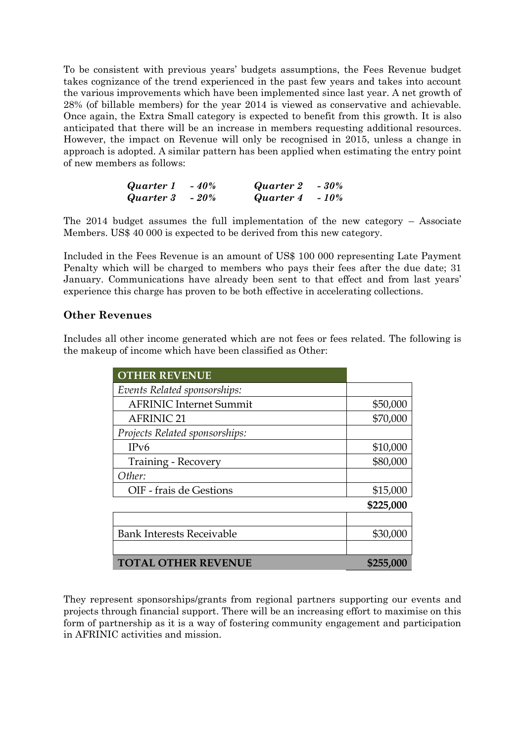To be consistent with previous years' budgets assumptions, the Fees Revenue budget takes cognizance of the trend experienced in the past few years and takes into account the various improvements which have been implemented since last year. A net growth of 28% (of billable members) for the year 2014 is viewed as conservative and achievable. Once again, the Extra Small category is expected to benefit from this growth. It is also anticipated that there will be an increase in members requesting additional resources. However, the impact on Revenue will only be recognised in 2015, unless a change in approach is adopted. A similar pattern has been applied when estimating the entry point of new members as follows:

| Quarter 1 | $-40%$ | Quarter 2 | $-30%$ |
|-----------|--------|-----------|--------|
| Quarter 3 | $-20%$ | Quarter 4 | $-10%$ |

The 2014 budget assumes the full implementation of the new category – Associate Members. US\$ 40 000 is expected to be derived from this new category.

Included in the Fees Revenue is an amount of US\$ 100 000 representing Late Payment Penalty which will be charged to members who pays their fees after the due date; 31 January. Communications have already been sent to that effect and from last years' experience this charge has proven to be both effective in accelerating collections.

## **Other Revenues**

Includes all other income generated which are not fees or fees related. The following is the makeup of income which have been classified as Other:

| <b>OTHER REVENUE</b>             |           |
|----------------------------------|-----------|
| Events Related sponsorships:     |           |
| <b>AFRINIC Internet Summit</b>   | \$50,000  |
| <b>AFRINIC 21</b>                | \$70,000  |
| Projects Related sponsorships:   |           |
| IPv6                             | \$10,000  |
| Training - Recovery              | \$80,000  |
| Other:                           |           |
| OIF - frais de Gestions          | \$15,000  |
|                                  | \$225,000 |
|                                  |           |
| <b>Bank Interests Receivable</b> | \$30,000  |
|                                  |           |
| <b>TOTAL OTHER REVENUE</b>       | \$255,000 |

They represent sponsorships/grants from regional partners supporting our events and projects through financial support. There will be an increasing effort to maximise on this form of partnership as it is a way of fostering community engagement and participation in AFRINIC activities and mission.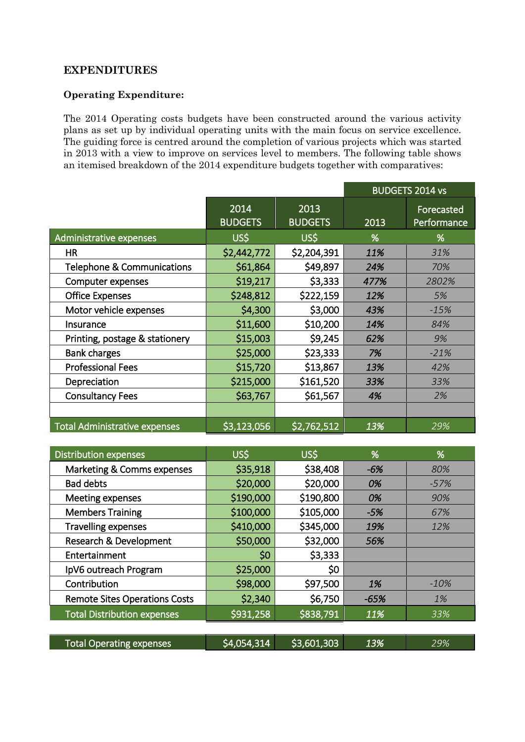## **EXPENDITURES**

#### **Operating Expenditure:**

The 2014 Operating costs budgets have been constructed around the various activity plans as set up by individual operating units with the main focus on service excellence. The guiding force is centred around the completion of various projects which was started in 2013 with a view to improve on services level to members. The following table shows an itemised breakdown of the 2014 expenditure budgets together with comparatives:

|                                       |                        |                        |      | <b>BUDGETS 2014 vs</b>    |
|---------------------------------------|------------------------|------------------------|------|---------------------------|
|                                       | 2014<br><b>BUDGETS</b> | 2013<br><b>BUDGETS</b> | 2013 | Forecasted<br>Performance |
| Administrative expenses               | US\$                   | US\$                   | %    | %                         |
| <b>HR</b>                             | \$2,442,772            | \$2,204,391            | 11%  | 31%                       |
| <b>Telephone &amp; Communications</b> | \$61,864               | \$49,897               | 24%  | 70%                       |
| Computer expenses                     | \$19,217               | \$3,333                | 477% | 2802%                     |
| <b>Office Expenses</b>                | \$248,812              | \$222,159              | 12%  | 5%                        |
| Motor vehicle expenses                | \$4,300                | \$3,000                | 43%  | $-15%$                    |
| <b>Insurance</b>                      | \$11,600               | \$10,200               | 14%  | 84%                       |
| Printing, postage & stationery        | \$15,003               | \$9,245                | 62%  | 9%                        |
| <b>Bank charges</b>                   | \$25,000               | \$23,333               | 7%   | $-21%$                    |
| <b>Professional Fees</b>              | \$15,720               | \$13,867               | 13%  | 42%                       |
| Depreciation                          | \$215,000              | \$161,520              | 33%  | 33%                       |
| <b>Consultancy Fees</b>               | \$63,767               | \$61,567               | 4%   | 2%                        |
|                                       |                        |                        |      |                           |
| <b>Total Administrative expenses</b>  | \$3,123,056            | \$2,762,512            | 13%  | 29%                       |

| <b>Distribution expenses</b>         | US\$        | US\$        | %      | %      |
|--------------------------------------|-------------|-------------|--------|--------|
| Marketing & Comms expenses           | \$35,918    | \$38,408    | $-6%$  | 80%    |
| <b>Bad debts</b>                     | \$20,000    | \$20,000    | 0%     | $-57%$ |
| Meeting expenses                     | \$190,000   | \$190,800   | 0%     | 90%    |
| <b>Members Training</b>              | \$100,000   | \$105,000   | $-5%$  | 67%    |
| <b>Travelling expenses</b>           | \$410,000   | \$345,000   | 19%    | 12%    |
| Research & Development               | \$50,000    | \$32,000    | 56%    |        |
| Entertainment                        | \$0         | \$3,333     |        |        |
| IpV6 outreach Program                | \$25,000    | \$0         |        |        |
| Contribution                         | \$98,000    | \$97,500    | 1%     | $-10%$ |
| <b>Remote Sites Operations Costs</b> | \$2,340     | \$6,750     | $-65%$ | 1%     |
| <b>Total Distribution expenses</b>   | \$931,258   | \$838,791   | 11%    | 33%    |
|                                      |             |             |        |        |
| <b>Total Operating expenses</b>      | \$4,054,314 | \$3,601,303 | 13%    | 29%    |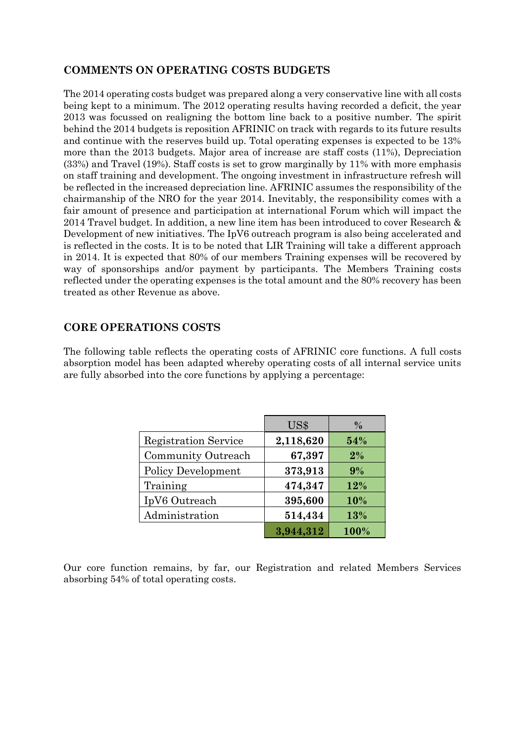# **COMMENTS ON OPERATING COSTS BUDGETS**

The 2014 operating costs budget was prepared along a very conservative line with all costs being kept to a minimum. The 2012 operating results having recorded a deficit, the year 2013 was focussed on realigning the bottom line back to a positive number. The spirit behind the 2014 budgets is reposition AFRINIC on track with regards to its future results and continue with the reserves build up. Total operating expenses is expected to be 13% more than the 2013 budgets. Major area of increase are staff costs (11%), Depreciation (33%) and Travel (19%). Staff costs is set to grow marginally by 11% with more emphasis on staff training and development. The ongoing investment in infrastructure refresh will be reflected in the increased depreciation line. AFRINIC assumes the responsibility of the chairmanship of the NRO for the year 2014. Inevitably, the responsibility comes with a fair amount of presence and participation at international Forum which will impact the 2014 Travel budget. In addition, a new line item has been introduced to cover Research & Development of new initiatives. The IpV6 outreach program is also being accelerated and is reflected in the costs. It is to be noted that LIR Training will take a different approach in 2014. It is expected that 80% of our members Training expenses will be recovered by way of sponsorships and/or payment by participants. The Members Training costs reflected under the operating expenses is the total amount and the 80% recovery has been treated as other Revenue as above.

## **CORE OPERATIONS COSTS**

The following table reflects the operating costs of AFRINIC core functions. A full costs absorption model has been adapted whereby operating costs of all internal service units are fully absorbed into the core functions by applying a percentage:

|                             | US\$      | $\frac{0}{0}$ |
|-----------------------------|-----------|---------------|
| <b>Registration Service</b> | 2,118,620 | 54%           |
| Community Outreach          | 67,397    | $2\%$         |
| <b>Policy Development</b>   | 373,913   | 9%            |
| Training                    | 474,347   | 12%           |
| IpV6 Outreach               | 395,600   | 10%           |
| Administration              | 514,434   | 13%           |
|                             | 3,944,312 | 100%          |

Our core function remains, by far, our Registration and related Members Services absorbing 54% of total operating costs.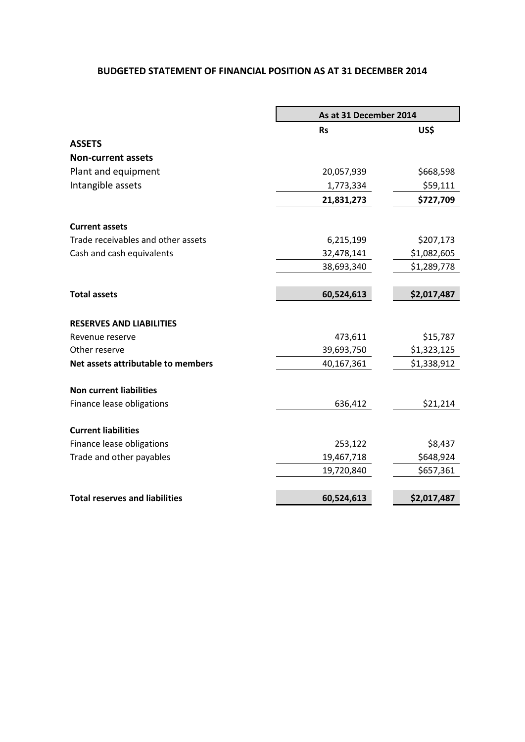#### **BUDGETED STATEMENT OF FINANCIAL POSITION AS AT 31 DECEMBER 2014**

|                                       | As at 31 December 2014 |             |  |
|---------------------------------------|------------------------|-------------|--|
|                                       | <b>Rs</b>              | US\$        |  |
| <b>ASSETS</b>                         |                        |             |  |
| <b>Non-current assets</b>             |                        |             |  |
| Plant and equipment                   | 20,057,939             | \$668,598   |  |
| Intangible assets                     | 1,773,334              | \$59,111    |  |
|                                       | 21,831,273             | \$727,709   |  |
| <b>Current assets</b>                 |                        |             |  |
| Trade receivables and other assets    | 6,215,199              | \$207,173   |  |
| Cash and cash equivalents             | 32,478,141             | \$1,082,605 |  |
|                                       | 38,693,340             | \$1,289,778 |  |
| <b>Total assets</b>                   | 60,524,613             | \$2,017,487 |  |
| <b>RESERVES AND LIABILITIES</b>       |                        |             |  |
| Revenue reserve                       | 473,611                | \$15,787    |  |
| Other reserve                         | 39,693,750             | \$1,323,125 |  |
| Net assets attributable to members    | 40,167,361             | \$1,338,912 |  |
| <b>Non current liabilities</b>        |                        |             |  |
| Finance lease obligations             | 636,412                | \$21,214    |  |
| <b>Current liabilities</b>            |                        |             |  |
| Finance lease obligations             | 253,122                | \$8,437     |  |
| Trade and other payables              | 19,467,718             | \$648,924   |  |
|                                       | 19,720,840             | \$657,361   |  |
| <b>Total reserves and liabilities</b> | 60,524,613             | \$2,017,487 |  |